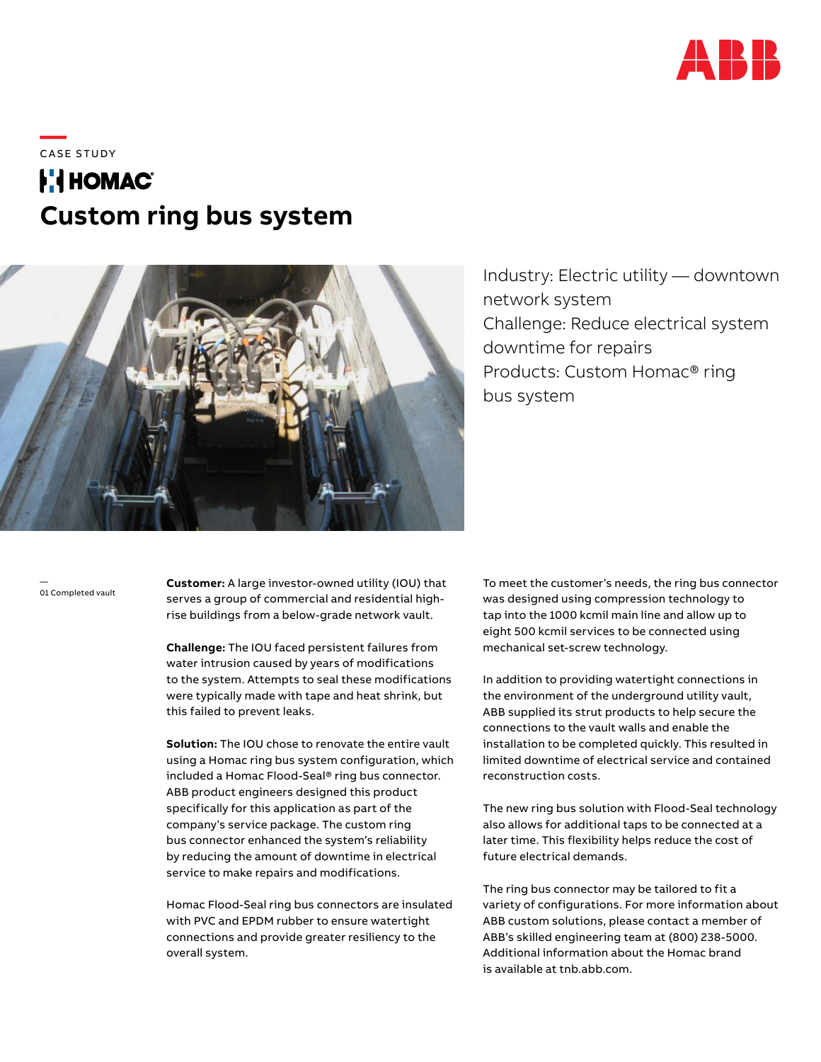

\_\_\_\_<br>CASE STUDY

# **FilHOMAC® Custom ring bus system**



Industry: Electric utility — downtown network system Challenge: Reduce electrical system downtime for repairs Products: Custom Homac® ring bus system

— 01 Completed vault

**Customer:** A large investor-owned utility (IOU) that serves a group of commercial and residential highrise buildings from a below-grade network vault.

**Challenge:** The IOU faced persistent failures from water intrusion caused by years of modifications to the system. Attempts to seal these modifications were typically made with tape and heat shrink, but this failed to prevent leaks.

**Solution:** The IOU chose to renovate the entire vault using a Homac ring bus system configuration, which included a Homac Flood-Seal® ring bus connector. ABB product engineers designed this product specifically for this application as part of the company's service package. The custom ring bus connector enhanced the system's reliability by reducing the amount of downtime in electrical service to make repairs and modifications.

Homac Flood-Seal ring bus connectors are insulated with PVC and EPDM rubber to ensure watertight connections and provide greater resiliency to the overall system.

To meet the customer's needs, the ring bus connector was designed using compression technology to tap into the 1000 kcmil main line and allow up to eight 500 kcmil services to be connected using mechanical set-screw technology.

In addition to providing watertight connections in the environment of the underground utility vault, ABB supplied its strut products to help secure the connections to the vault walls and enable the installation to be completed quickly. This resulted in limited downtime of electrical service and contained reconstruction costs.

The new ring bus solution with Flood-Seal technology also allows for additional taps to be connected at a later time. This flexibility helps reduce the cost of future electrical demands.

The ring bus connector may be tailored to fit a variety of configurations. For more information about ABB custom solutions, please contact a member of ABB's skilled engineering team at (800) 238-5000. Additional information about the Homac brand is available at tnb.abb.com.